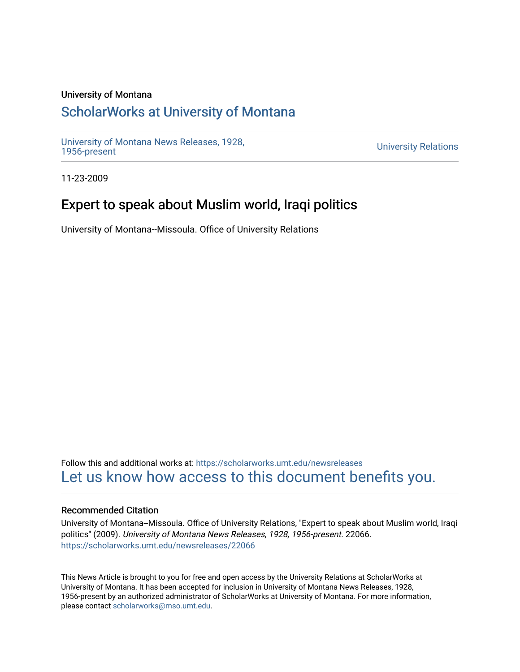#### University of Montana

## [ScholarWorks at University of Montana](https://scholarworks.umt.edu/)

[University of Montana News Releases, 1928,](https://scholarworks.umt.edu/newsreleases) 

**University Relations** 

11-23-2009

### Expert to speak about Muslim world, Iraqi politics

University of Montana--Missoula. Office of University Relations

Follow this and additional works at: [https://scholarworks.umt.edu/newsreleases](https://scholarworks.umt.edu/newsreleases?utm_source=scholarworks.umt.edu%2Fnewsreleases%2F22066&utm_medium=PDF&utm_campaign=PDFCoverPages) [Let us know how access to this document benefits you.](https://goo.gl/forms/s2rGfXOLzz71qgsB2) 

#### Recommended Citation

University of Montana--Missoula. Office of University Relations, "Expert to speak about Muslim world, Iraqi politics" (2009). University of Montana News Releases, 1928, 1956-present. 22066. [https://scholarworks.umt.edu/newsreleases/22066](https://scholarworks.umt.edu/newsreleases/22066?utm_source=scholarworks.umt.edu%2Fnewsreleases%2F22066&utm_medium=PDF&utm_campaign=PDFCoverPages) 

This News Article is brought to you for free and open access by the University Relations at ScholarWorks at University of Montana. It has been accepted for inclusion in University of Montana News Releases, 1928, 1956-present by an authorized administrator of ScholarWorks at University of Montana. For more information, please contact [scholarworks@mso.umt.edu.](mailto:scholarworks@mso.umt.edu)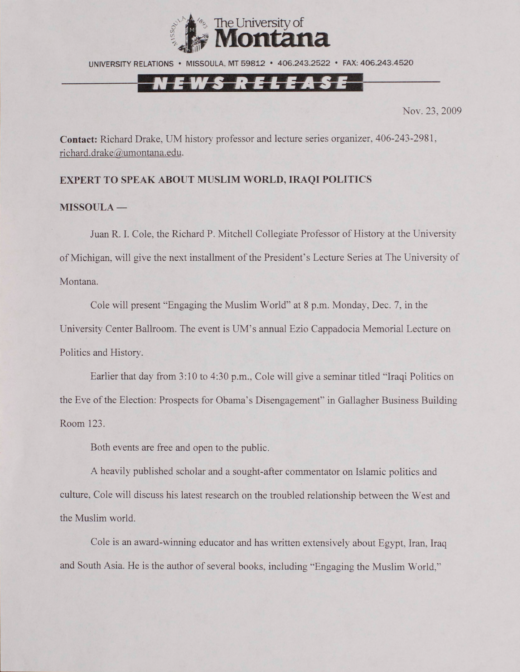

UNIVERSITY RELATIONS • MISSOULA. MT 59812 • 406.243.2522 • FAX: 406.243.4520

# <u>EWS RELEASE</u>

Nov. 23, 2009

**Contact:** Richard Drake, UM history professor and lecture series organizer. 406-243-2981, [richard.drake@umontana.edu](mailto:richard.drake@umontana.edu).

### **EXPERT TO SPEAK ABOUT MUSLIM WORLD, IRAQI POLITICS**

#### **MISSOULA —**

Juan R. I. Cole, the Richard P. Mitchell Collegiate Professor of History at the University of Michigan, will give the next installment of the President's Lecture Series at The University of Montana.

Cole will present "Engaging the Muslim World'\* at 8 p.m. Monday, Dec. 7, in the University Center Ballroom. The event is UM's annual Ezio Cappadocia Memorial Lecture on Politics and History.

Earlier that day from 3:10 to 4:30 p.m.. Cole will give a seminar titled "Iraqi Politics on the Eve of the Election: Prospects for Obama's Disengagement" in Gallagher Business Building Room 123.

Both events are free and open to the public.

A heavily published scholar and a sought-after commentator on Islamic politics and culture, Cole will discuss his latest research on the troubled relationship between the West and the Muslim world.

Cole is an award-winning educator and has written extensively about Egypt. Iran. Iraq and South Asia. He is the author of several books, including "Engaging the Muslim World."